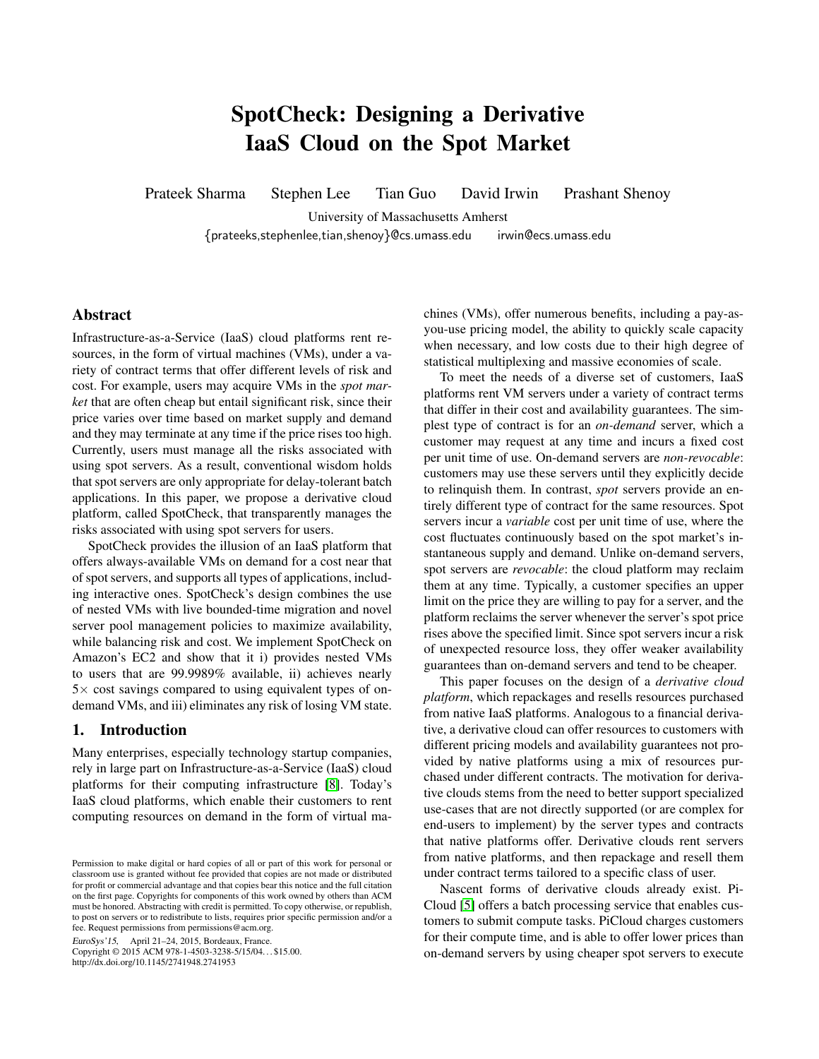# SpotCheck: Designing a Derivative IaaS Cloud on the Spot Market

Prateek Sharma Stephen Lee Tian Guo David Irwin Prashant Shenoy

University of Massachusetts Amherst

{prateeks,stephenlee,tian,shenoy}@cs.umass.edu irwin@ecs.umass.edu

## Abstract

Infrastructure-as-a-Service (IaaS) cloud platforms rent resources, in the form of virtual machines (VMs), under a variety of contract terms that offer different levels of risk and cost. For example, users may acquire VMs in the *spot market* that are often cheap but entail significant risk, since their price varies over time based on market supply and demand and they may terminate at any time if the price rises too high. Currently, users must manage all the risks associated with using spot servers. As a result, conventional wisdom holds that spot servers are only appropriate for delay-tolerant batch applications. In this paper, we propose a derivative cloud platform, called SpotCheck, that transparently manages the risks associated with using spot servers for users.

SpotCheck provides the illusion of an IaaS platform that offers always-available VMs on demand for a cost near that of spot servers, and supports all types of applications, including interactive ones. SpotCheck's design combines the use of nested VMs with live bounded-time migration and novel server pool management policies to maximize availability, while balancing risk and cost. We implement SpotCheck on Amazon's EC2 and show that it i) provides nested VMs to users that are 99.9989% available, ii) achieves nearly  $5\times$  cost savings compared to using equivalent types of ondemand VMs, and iii) eliminates any risk of losing VM state.

## 1. Introduction

Many enterprises, especially technology startup companies, rely in large part on Infrastructure-as-a-Service (IaaS) cloud platforms for their computing infrastructure [\[8\]](#page-14-0). Today's IaaS cloud platforms, which enable their customers to rent computing resources on demand in the form of virtual ma-

EuroSys'15, April 21–24, 2015, Bordeaux, France.

Copyright © 2015 ACM 978-1-4503-3238-5/15/04. . . \$15.00. http://dx.doi.org/10.1145/2741948.2741953

chines (VMs), offer numerous benefits, including a pay-asyou-use pricing model, the ability to quickly scale capacity when necessary, and low costs due to their high degree of statistical multiplexing and massive economies of scale.

To meet the needs of a diverse set of customers, IaaS platforms rent VM servers under a variety of contract terms that differ in their cost and availability guarantees. The simplest type of contract is for an *on-demand* server, which a customer may request at any time and incurs a fixed cost per unit time of use. On-demand servers are *non-revocable*: customers may use these servers until they explicitly decide to relinquish them. In contrast, *spot* servers provide an entirely different type of contract for the same resources. Spot servers incur a *variable* cost per unit time of use, where the cost fluctuates continuously based on the spot market's instantaneous supply and demand. Unlike on-demand servers, spot servers are *revocable*: the cloud platform may reclaim them at any time. Typically, a customer specifies an upper limit on the price they are willing to pay for a server, and the platform reclaims the server whenever the server's spot price rises above the specified limit. Since spot servers incur a risk of unexpected resource loss, they offer weaker availability guarantees than on-demand servers and tend to be cheaper.

This paper focuses on the design of a *derivative cloud platform*, which repackages and resells resources purchased from native IaaS platforms. Analogous to a financial derivative, a derivative cloud can offer resources to customers with different pricing models and availability guarantees not provided by native platforms using a mix of resources purchased under different contracts. The motivation for derivative clouds stems from the need to better support specialized use-cases that are not directly supported (or are complex for end-users to implement) by the server types and contracts that native platforms offer. Derivative clouds rent servers from native platforms, and then repackage and resell them under contract terms tailored to a specific class of user.

Nascent forms of derivative clouds already exist. Pi-Cloud [\[5\]](#page-14-1) offers a batch processing service that enables customers to submit compute tasks. PiCloud charges customers for their compute time, and is able to offer lower prices than on-demand servers by using cheaper spot servers to execute

Permission to make digital or hard copies of all or part of this work for personal or classroom use is granted without fee provided that copies are not made or distributed for profit or commercial advantage and that copies bear this notice and the full citation on the first page. Copyrights for components of this work owned by others than ACM must be honored. Abstracting with credit is permitted. To copy otherwise, or republish, to post on servers or to redistribute to lists, requires prior specific permission and/or a fee. Request permissions from permissions@acm.org.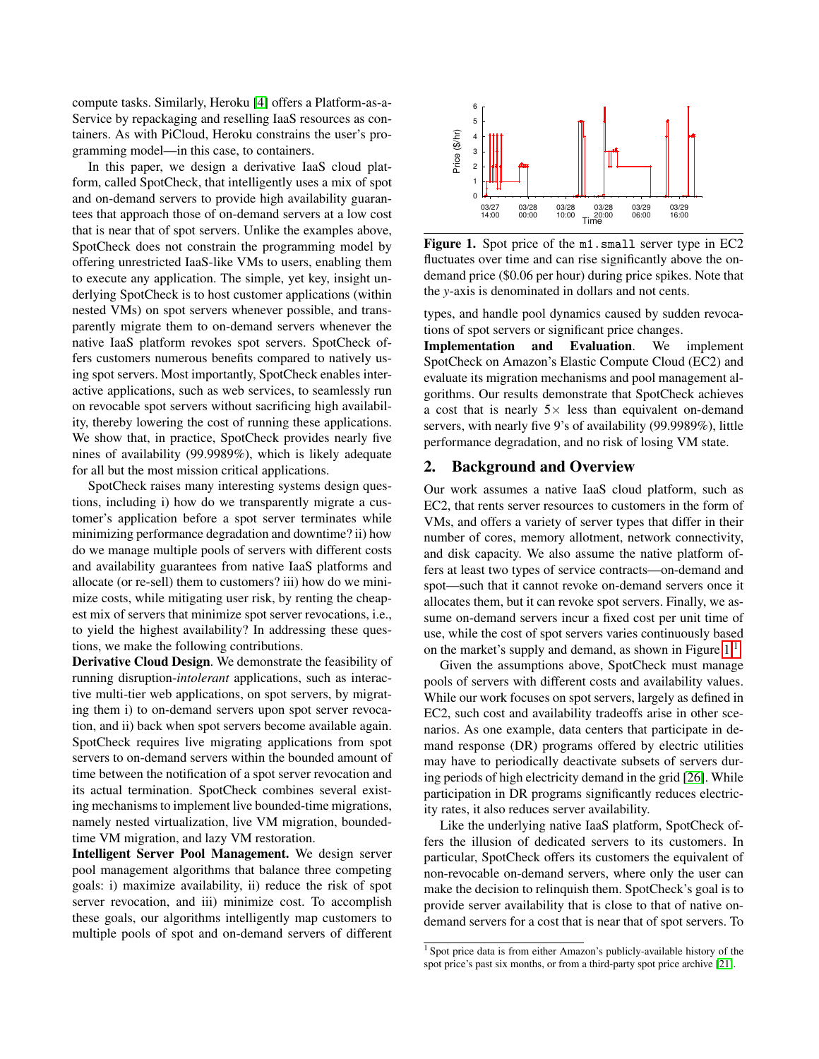compute tasks. Similarly, Heroku [\[4\]](#page-14-2) offers a Platform-as-a-Service by repackaging and reselling IaaS resources as containers. As with PiCloud, Heroku constrains the user's programming model—in this case, to containers.

In this paper, we design a derivative IaaS cloud platform, called SpotCheck, that intelligently uses a mix of spot and on-demand servers to provide high availability guarantees that approach those of on-demand servers at a low cost that is near that of spot servers. Unlike the examples above, SpotCheck does not constrain the programming model by offering unrestricted IaaS-like VMs to users, enabling them to execute any application. The simple, yet key, insight underlying SpotCheck is to host customer applications (within nested VMs) on spot servers whenever possible, and transparently migrate them to on-demand servers whenever the native IaaS platform revokes spot servers. SpotCheck offers customers numerous benefits compared to natively using spot servers. Most importantly, SpotCheck enables interactive applications, such as web services, to seamlessly run on revocable spot servers without sacrificing high availability, thereby lowering the cost of running these applications. We show that, in practice, SpotCheck provides nearly five nines of availability (99.9989%), which is likely adequate for all but the most mission critical applications.

SpotCheck raises many interesting systems design questions, including i) how do we transparently migrate a customer's application before a spot server terminates while minimizing performance degradation and downtime? ii) how do we manage multiple pools of servers with different costs and availability guarantees from native IaaS platforms and allocate (or re-sell) them to customers? iii) how do we minimize costs, while mitigating user risk, by renting the cheapest mix of servers that minimize spot server revocations, i.e., to yield the highest availability? In addressing these questions, we make the following contributions.

Derivative Cloud Design. We demonstrate the feasibility of running disruption-*intolerant* applications, such as interactive multi-tier web applications, on spot servers, by migrating them i) to on-demand servers upon spot server revocation, and ii) back when spot servers become available again. SpotCheck requires live migrating applications from spot servers to on-demand servers within the bounded amount of time between the notification of a spot server revocation and its actual termination. SpotCheck combines several existing mechanisms to implement live bounded-time migrations, namely nested virtualization, live VM migration, boundedtime VM migration, and lazy VM restoration.

Intelligent Server Pool Management. We design server pool management algorithms that balance three competing goals: i) maximize availability, ii) reduce the risk of spot server revocation, and iii) minimize cost. To accomplish these goals, our algorithms intelligently map customers to multiple pools of spot and on-demand servers of different



<span id="page-1-0"></span>Figure 1. Spot price of the m1.small server type in EC2 fluctuates over time and can rise significantly above the ondemand price (\$0.06 per hour) during price spikes. Note that the *y*-axis is denominated in dollars and not cents.

types, and handle pool dynamics caused by sudden revocations of spot servers or significant price changes.

Implementation and Evaluation. We implement SpotCheck on Amazon's Elastic Compute Cloud (EC2) and evaluate its migration mechanisms and pool management algorithms. Our results demonstrate that SpotCheck achieves a cost that is nearly  $5 \times$  less than equivalent on-demand servers, with nearly five 9's of availability (99.9989%), little performance degradation, and no risk of losing VM state.

## 2. Background and Overview

Our work assumes a native IaaS cloud platform, such as EC2, that rents server resources to customers in the form of VMs, and offers a variety of server types that differ in their number of cores, memory allotment, network connectivity, and disk capacity. We also assume the native platform offers at least two types of service contracts—on-demand and spot—such that it cannot revoke on-demand servers once it allocates them, but it can revoke spot servers. Finally, we assume on-demand servers incur a fixed cost per unit time of use, while the cost of spot servers varies continuously based on the market's supply and demand, as shown in Figure  $1<sup>1</sup>$  $1<sup>1</sup>$ 

Given the assumptions above, SpotCheck must manage pools of servers with different costs and availability values. While our work focuses on spot servers, largely as defined in EC2, such cost and availability tradeoffs arise in other scenarios. As one example, data centers that participate in demand response (DR) programs offered by electric utilities may have to periodically deactivate subsets of servers during periods of high electricity demand in the grid [\[26\]](#page-14-3). While participation in DR programs significantly reduces electricity rates, it also reduces server availability.

Like the underlying native IaaS platform, SpotCheck offers the illusion of dedicated servers to its customers. In particular, SpotCheck offers its customers the equivalent of non-revocable on-demand servers, where only the user can make the decision to relinquish them. SpotCheck's goal is to provide server availability that is close to that of native ondemand servers for a cost that is near that of spot servers. To

<span id="page-1-1"></span><sup>1</sup> Spot price data is from either Amazon's publicly-available history of the spot price's past six months, or from a third-party spot price archive [\[21\]](#page-14-4).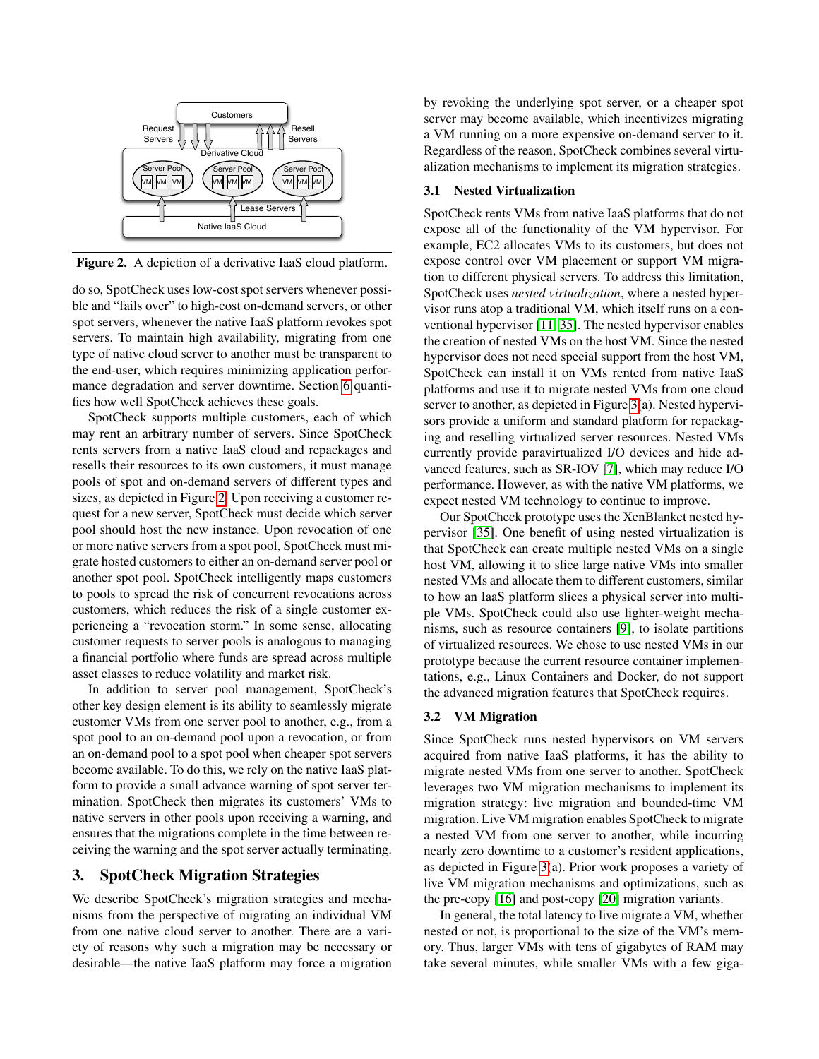

<span id="page-2-0"></span>Figure 2. A depiction of a derivative IaaS cloud platform.

do so, SpotCheck uses low-cost spot servers whenever possible and "fails over" to high-cost on-demand servers, or other spot servers, whenever the native IaaS platform revokes spot servers. To maintain high availability, migrating from one type of native cloud server to another must be transparent to the end-user, which requires minimizing application performance degradation and server downtime. Section [6](#page-10-0) quantifies how well SpotCheck achieves these goals.

SpotCheck supports multiple customers, each of which may rent an arbitrary number of servers. Since SpotCheck rents servers from a native IaaS cloud and repackages and resells their resources to its own customers, it must manage pools of spot and on-demand servers of different types and sizes, as depicted in Figure [2.](#page-2-0) Upon receiving a customer request for a new server, SpotCheck must decide which server pool should host the new instance. Upon revocation of one or more native servers from a spot pool, SpotCheck must migrate hosted customers to either an on-demand server pool or another spot pool. SpotCheck intelligently maps customers to pools to spread the risk of concurrent revocations across customers, which reduces the risk of a single customer experiencing a "revocation storm." In some sense, allocating customer requests to server pools is analogous to managing a financial portfolio where funds are spread across multiple asset classes to reduce volatility and market risk.

In addition to server pool management, SpotCheck's other key design element is its ability to seamlessly migrate customer VMs from one server pool to another, e.g., from a spot pool to an on-demand pool upon a revocation, or from an on-demand pool to a spot pool when cheaper spot servers become available. To do this, we rely on the native IaaS platform to provide a small advance warning of spot server termination. SpotCheck then migrates its customers' VMs to native servers in other pools upon receiving a warning, and ensures that the migrations complete in the time between receiving the warning and the spot server actually terminating.

## 3. SpotCheck Migration Strategies

We describe SpotCheck's migration strategies and mechanisms from the perspective of migrating an individual VM from one native cloud server to another. There are a variety of reasons why such a migration may be necessary or desirable—the native IaaS platform may force a migration by revoking the underlying spot server, or a cheaper spot server may become available, which incentivizes migrating a VM running on a more expensive on-demand server to it. Regardless of the reason, SpotCheck combines several virtualization mechanisms to implement its migration strategies.

#### 3.1 Nested Virtualization

SpotCheck rents VMs from native IaaS platforms that do not expose all of the functionality of the VM hypervisor. For example, EC2 allocates VMs to its customers, but does not expose control over VM placement or support VM migration to different physical servers. To address this limitation, SpotCheck uses *nested virtualization*, where a nested hypervisor runs atop a traditional VM, which itself runs on a conventional hypervisor [\[11,](#page-14-5) [35\]](#page-14-6). The nested hypervisor enables the creation of nested VMs on the host VM. Since the nested hypervisor does not need special support from the host VM, SpotCheck can install it on VMs rented from native IaaS platforms and use it to migrate nested VMs from one cloud server to another, as depicted in Figure [3\(](#page-3-0)a). Nested hypervisors provide a uniform and standard platform for repackaging and reselling virtualized server resources. Nested VMs currently provide paravirtualized I/O devices and hide advanced features, such as SR-IOV [\[7\]](#page-14-7), which may reduce I/O performance. However, as with the native VM platforms, we expect nested VM technology to continue to improve.

Our SpotCheck prototype uses the XenBlanket nested hypervisor [\[35\]](#page-14-6). One benefit of using nested virtualization is that SpotCheck can create multiple nested VMs on a single host VM, allowing it to slice large native VMs into smaller nested VMs and allocate them to different customers, similar to how an IaaS platform slices a physical server into multiple VMs. SpotCheck could also use lighter-weight mechanisms, such as resource containers [\[9\]](#page-14-8), to isolate partitions of virtualized resources. We chose to use nested VMs in our prototype because the current resource container implementations, e.g., Linux Containers and Docker, do not support the advanced migration features that SpotCheck requires.

#### 3.2 VM Migration

Since SpotCheck runs nested hypervisors on VM servers acquired from native IaaS platforms, it has the ability to migrate nested VMs from one server to another. SpotCheck leverages two VM migration mechanisms to implement its migration strategy: live migration and bounded-time VM migration. Live VM migration enables SpotCheck to migrate a nested VM from one server to another, while incurring nearly zero downtime to a customer's resident applications, as depicted in Figure [3\(](#page-3-0)a). Prior work proposes a variety of live VM migration mechanisms and optimizations, such as the pre-copy [\[16\]](#page-14-9) and post-copy [\[20\]](#page-14-10) migration variants.

In general, the total latency to live migrate a VM, whether nested or not, is proportional to the size of the VM's memory. Thus, larger VMs with tens of gigabytes of RAM may take several minutes, while smaller VMs with a few giga-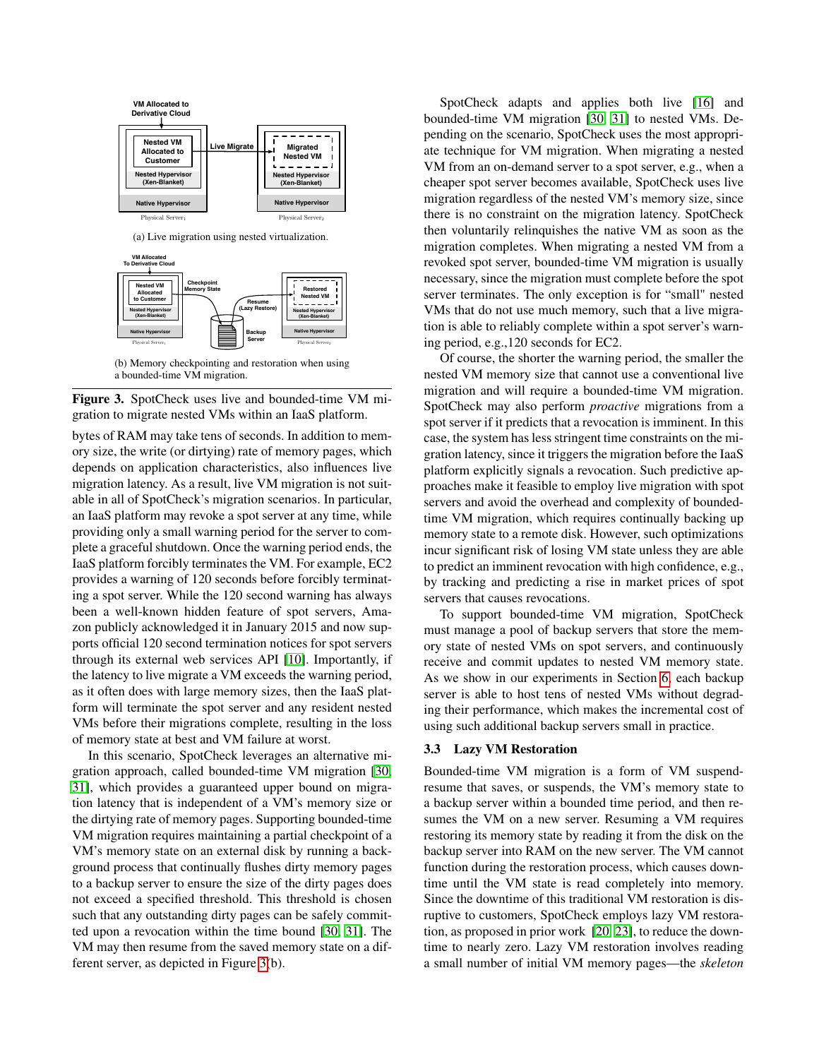



<span id="page-3-0"></span>(b) Memory checkpointing and restoration when using a bounded-time VM migration.

Figure 3. SpotCheck uses live and bounded-time VM migration to migrate nested VMs within an IaaS platform.

bytes of RAM may take tens of seconds. In addition to memory size, the write (or dirtying) rate of memory pages, which depends on application characteristics, also influences live migration latency. As a result, live VM migration is not suitable in all of SpotCheck's migration scenarios. In particular, an IaaS platform may revoke a spot server at any time, while providing only a small warning period for the server to complete a graceful shutdown. Once the warning period ends, the IaaS platform forcibly terminates the VM. For example, EC2 provides a warning of 120 seconds before forcibly terminating a spot server. While the 120 second warning has always been a well-known hidden feature of spot servers, Amazon publicly acknowledged it in January 2015 and now supports official 120 second termination notices for spot servers through its external web services API [\[10\]](#page-14-11). Importantly, if the latency to live migrate a VM exceeds the warning period, as it often does with large memory sizes, then the IaaS platform will terminate the spot server and any resident nested VMs before their migrations complete, resulting in the loss of memory state at best and VM failure at worst.

In this scenario, SpotCheck leverages an alternative migration approach, called bounded-time VM migration [\[30,](#page-14-12) [31\]](#page-14-13), which provides a guaranteed upper bound on migration latency that is independent of a VM's memory size or the dirtying rate of memory pages. Supporting bounded-time VM migration requires maintaining a partial checkpoint of a VM's memory state on an external disk by running a background process that continually flushes dirty memory pages to a backup server to ensure the size of the dirty pages does not exceed a specified threshold. This threshold is chosen such that any outstanding dirty pages can be safely committed upon a revocation within the time bound [\[30,](#page-14-12) [31\]](#page-14-13). The VM may then resume from the saved memory state on a different server, as depicted in Figure [3\(](#page-3-0)b).

SpotCheck adapts and applies both live [\[16\]](#page-14-9) and bounded-time VM migration [\[30,](#page-14-12) [31\]](#page-14-13) to nested VMs. Depending on the scenario, SpotCheck uses the most appropriate technique for VM migration. When migrating a nested VM from an on-demand server to a spot server, e.g., when a cheaper spot server becomes available, SpotCheck uses live migration regardless of the nested VM's memory size, since there is no constraint on the migration latency. SpotCheck then voluntarily relinquishes the native VM as soon as the migration completes. When migrating a nested VM from a revoked spot server, bounded-time VM migration is usually necessary, since the migration must complete before the spot server terminates. The only exception is for "small" nested VMs that do not use much memory, such that a live migration is able to reliably complete within a spot server's warning period, e.g.,120 seconds for EC2.

Of course, the shorter the warning period, the smaller the nested VM memory size that cannot use a conventional live migration and will require a bounded-time VM migration. SpotCheck may also perform *proactive* migrations from a spot server if it predicts that a revocation is imminent. In this case, the system has less stringent time constraints on the migration latency, since it triggers the migration before the IaaS platform explicitly signals a revocation. Such predictive approaches make it feasible to employ live migration with spot servers and avoid the overhead and complexity of boundedtime VM migration, which requires continually backing up memory state to a remote disk. However, such optimizations incur significant risk of losing VM state unless they are able to predict an imminent revocation with high confidence, e.g., by tracking and predicting a rise in market prices of spot servers that causes revocations.

To support bounded-time VM migration, SpotCheck must manage a pool of backup servers that store the memory state of nested VMs on spot servers, and continuously receive and commit updates to nested VM memory state. As we show in our experiments in Section [6,](#page-10-0) each backup server is able to host tens of nested VMs without degrading their performance, which makes the incremental cost of using such additional backup servers small in practice.

## 3.3 Lazy VM Restoration

Bounded-time VM migration is a form of VM suspendresume that saves, or suspends, the VM's memory state to a backup server within a bounded time period, and then resumes the VM on a new server. Resuming a VM requires restoring its memory state by reading it from the disk on the backup server into RAM on the new server. The VM cannot function during the restoration process, which causes downtime until the VM state is read completely into memory. Since the downtime of this traditional VM restoration is disruptive to customers, SpotCheck employs lazy VM restoration, as proposed in prior work [\[20,](#page-14-10) [23\]](#page-14-14), to reduce the downtime to nearly zero. Lazy VM restoration involves reading a small number of initial VM memory pages—the *skeleton*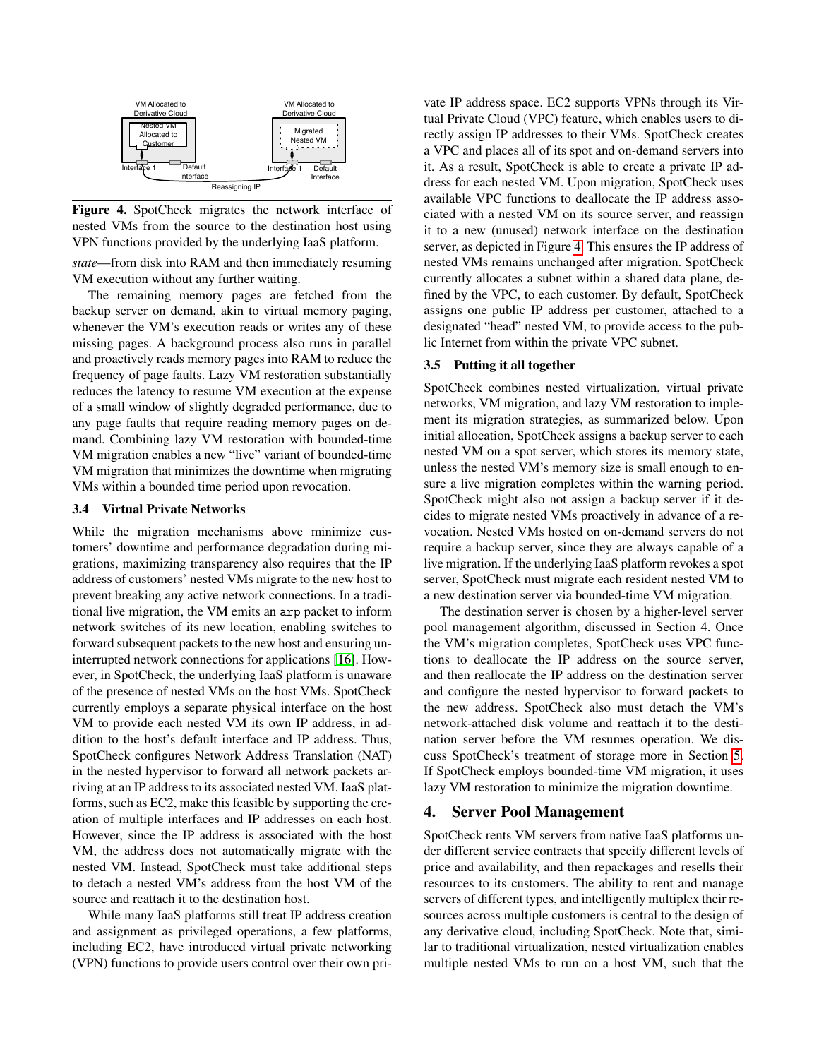

<span id="page-4-0"></span>Figure 4. SpotCheck migrates the network interface of nested VMs from the source to the destination host using VPN functions provided by the underlying IaaS platform.

*state*—from disk into RAM and then immediately resuming VM execution without any further waiting.

The remaining memory pages are fetched from the backup server on demand, akin to virtual memory paging, whenever the VM's execution reads or writes any of these missing pages. A background process also runs in parallel and proactively reads memory pages into RAM to reduce the frequency of page faults. Lazy VM restoration substantially reduces the latency to resume VM execution at the expense of a small window of slightly degraded performance, due to any page faults that require reading memory pages on demand. Combining lazy VM restoration with bounded-time VM migration enables a new "live" variant of bounded-time VM migration that minimizes the downtime when migrating VMs within a bounded time period upon revocation.

#### 3.4 Virtual Private Networks

While the migration mechanisms above minimize customers' downtime and performance degradation during migrations, maximizing transparency also requires that the IP address of customers' nested VMs migrate to the new host to prevent breaking any active network connections. In a traditional live migration, the VM emits an arp packet to inform network switches of its new location, enabling switches to forward subsequent packets to the new host and ensuring uninterrupted network connections for applications [\[16\]](#page-14-9). However, in SpotCheck, the underlying IaaS platform is unaware of the presence of nested VMs on the host VMs. SpotCheck currently employs a separate physical interface on the host VM to provide each nested VM its own IP address, in addition to the host's default interface and IP address. Thus, SpotCheck configures Network Address Translation (NAT) in the nested hypervisor to forward all network packets arriving at an IP address to its associated nested VM. IaaS platforms, such as EC2, make this feasible by supporting the creation of multiple interfaces and IP addresses on each host. However, since the IP address is associated with the host VM, the address does not automatically migrate with the nested VM. Instead, SpotCheck must take additional steps to detach a nested VM's address from the host VM of the source and reattach it to the destination host.

While many IaaS platforms still treat IP address creation and assignment as privileged operations, a few platforms, including EC2, have introduced virtual private networking (VPN) functions to provide users control over their own pri-

vate IP address space. EC2 supports VPNs through its Virtual Private Cloud (VPC) feature, which enables users to directly assign IP addresses to their VMs. SpotCheck creates a VPC and places all of its spot and on-demand servers into it. As a result, SpotCheck is able to create a private IP address for each nested VM. Upon migration, SpotCheck uses available VPC functions to deallocate the IP address associated with a nested VM on its source server, and reassign it to a new (unused) network interface on the destination server, as depicted in Figure [4.](#page-4-0) This ensures the IP address of nested VMs remains unchanged after migration. SpotCheck currently allocates a subnet within a shared data plane, defined by the VPC, to each customer. By default, SpotCheck assigns one public IP address per customer, attached to a designated "head" nested VM, to provide access to the public Internet from within the private VPC subnet.

#### 3.5 Putting it all together

SpotCheck combines nested virtualization, virtual private networks, VM migration, and lazy VM restoration to implement its migration strategies, as summarized below. Upon initial allocation, SpotCheck assigns a backup server to each nested VM on a spot server, which stores its memory state, unless the nested VM's memory size is small enough to ensure a live migration completes within the warning period. SpotCheck might also not assign a backup server if it decides to migrate nested VMs proactively in advance of a revocation. Nested VMs hosted on on-demand servers do not require a backup server, since they are always capable of a live migration. If the underlying IaaS platform revokes a spot server, SpotCheck must migrate each resident nested VM to a new destination server via bounded-time VM migration.

The destination server is chosen by a higher-level server pool management algorithm, discussed in Section 4. Once the VM's migration completes, SpotCheck uses VPC functions to deallocate the IP address on the source server, and then reallocate the IP address on the destination server and configure the nested hypervisor to forward packets to the new address. SpotCheck also must detach the VM's network-attached disk volume and reattach it to the destination server before the VM resumes operation. We discuss SpotCheck's treatment of storage more in Section [5.](#page-8-0) If SpotCheck employs bounded-time VM migration, it uses lazy VM restoration to minimize the migration downtime.

#### 4. Server Pool Management

SpotCheck rents VM servers from native IaaS platforms under different service contracts that specify different levels of price and availability, and then repackages and resells their resources to its customers. The ability to rent and manage servers of different types, and intelligently multiplex their resources across multiple customers is central to the design of any derivative cloud, including SpotCheck. Note that, similar to traditional virtualization, nested virtualization enables multiple nested VMs to run on a host VM, such that the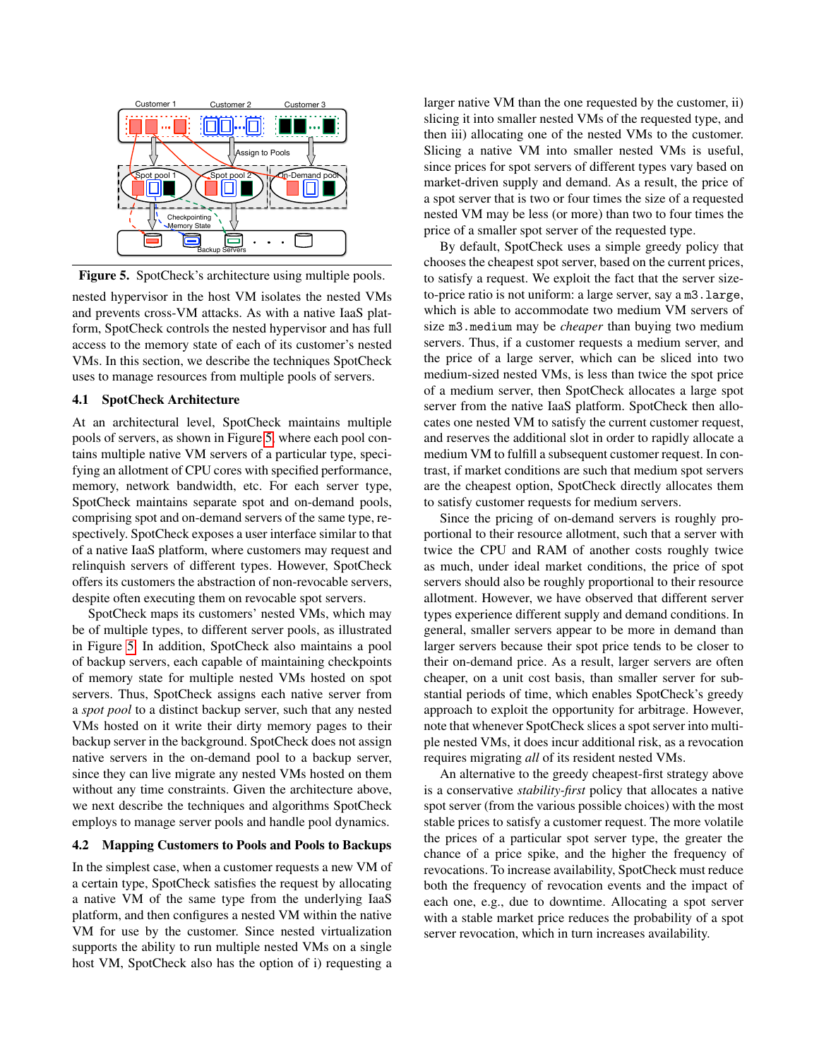

<span id="page-5-0"></span>Figure 5. SpotCheck's architecture using multiple pools.

nested hypervisor in the host VM isolates the nested VMs and prevents cross-VM attacks. As with a native IaaS platform, SpotCheck controls the nested hypervisor and has full access to the memory state of each of its customer's nested VMs. In this section, we describe the techniques SpotCheck uses to manage resources from multiple pools of servers.

#### 4.1 SpotCheck Architecture

At an architectural level, SpotCheck maintains multiple pools of servers, as shown in Figure [5,](#page-5-0) where each pool contains multiple native VM servers of a particular type, specifying an allotment of CPU cores with specified performance, memory, network bandwidth, etc. For each server type, SpotCheck maintains separate spot and on-demand pools, comprising spot and on-demand servers of the same type, respectively. SpotCheck exposes a user interface similar to that of a native IaaS platform, where customers may request and relinquish servers of different types. However, SpotCheck offers its customers the abstraction of non-revocable servers, despite often executing them on revocable spot servers.

SpotCheck maps its customers' nested VMs, which may be of multiple types, to different server pools, as illustrated in Figure [5.](#page-5-0) In addition, SpotCheck also maintains a pool of backup servers, each capable of maintaining checkpoints of memory state for multiple nested VMs hosted on spot servers. Thus, SpotCheck assigns each native server from a *spot pool* to a distinct backup server, such that any nested VMs hosted on it write their dirty memory pages to their backup server in the background. SpotCheck does not assign native servers in the on-demand pool to a backup server, since they can live migrate any nested VMs hosted on them without any time constraints. Given the architecture above, we next describe the techniques and algorithms SpotCheck employs to manage server pools and handle pool dynamics.

#### 4.2 Mapping Customers to Pools and Pools to Backups

In the simplest case, when a customer requests a new VM of a certain type, SpotCheck satisfies the request by allocating a native VM of the same type from the underlying IaaS platform, and then configures a nested VM within the native VM for use by the customer. Since nested virtualization supports the ability to run multiple nested VMs on a single host VM, SpotCheck also has the option of i) requesting a

larger native VM than the one requested by the customer, ii) slicing it into smaller nested VMs of the requested type, and then iii) allocating one of the nested VMs to the customer. Slicing a native VM into smaller nested VMs is useful, since prices for spot servers of different types vary based on market-driven supply and demand. As a result, the price of a spot server that is two or four times the size of a requested nested VM may be less (or more) than two to four times the price of a smaller spot server of the requested type.

By default, SpotCheck uses a simple greedy policy that chooses the cheapest spot server, based on the current prices, to satisfy a request. We exploit the fact that the server sizeto-price ratio is not uniform: a large server, say a m3.large, which is able to accommodate two medium VM servers of size m3.medium may be *cheaper* than buying two medium servers. Thus, if a customer requests a medium server, and the price of a large server, which can be sliced into two medium-sized nested VMs, is less than twice the spot price of a medium server, then SpotCheck allocates a large spot server from the native IaaS platform. SpotCheck then allocates one nested VM to satisfy the current customer request, and reserves the additional slot in order to rapidly allocate a medium VM to fulfill a subsequent customer request. In contrast, if market conditions are such that medium spot servers are the cheapest option, SpotCheck directly allocates them to satisfy customer requests for medium servers.

Since the pricing of on-demand servers is roughly proportional to their resource allotment, such that a server with twice the CPU and RAM of another costs roughly twice as much, under ideal market conditions, the price of spot servers should also be roughly proportional to their resource allotment. However, we have observed that different server types experience different supply and demand conditions. In general, smaller servers appear to be more in demand than larger servers because their spot price tends to be closer to their on-demand price. As a result, larger servers are often cheaper, on a unit cost basis, than smaller server for substantial periods of time, which enables SpotCheck's greedy approach to exploit the opportunity for arbitrage. However, note that whenever SpotCheck slices a spot server into multiple nested VMs, it does incur additional risk, as a revocation requires migrating *all* of its resident nested VMs.

An alternative to the greedy cheapest-first strategy above is a conservative *stability-first* policy that allocates a native spot server (from the various possible choices) with the most stable prices to satisfy a customer request. The more volatile the prices of a particular spot server type, the greater the chance of a price spike, and the higher the frequency of revocations. To increase availability, SpotCheck must reduce both the frequency of revocation events and the impact of each one, e.g., due to downtime. Allocating a spot server with a stable market price reduces the probability of a spot server revocation, which in turn increases availability.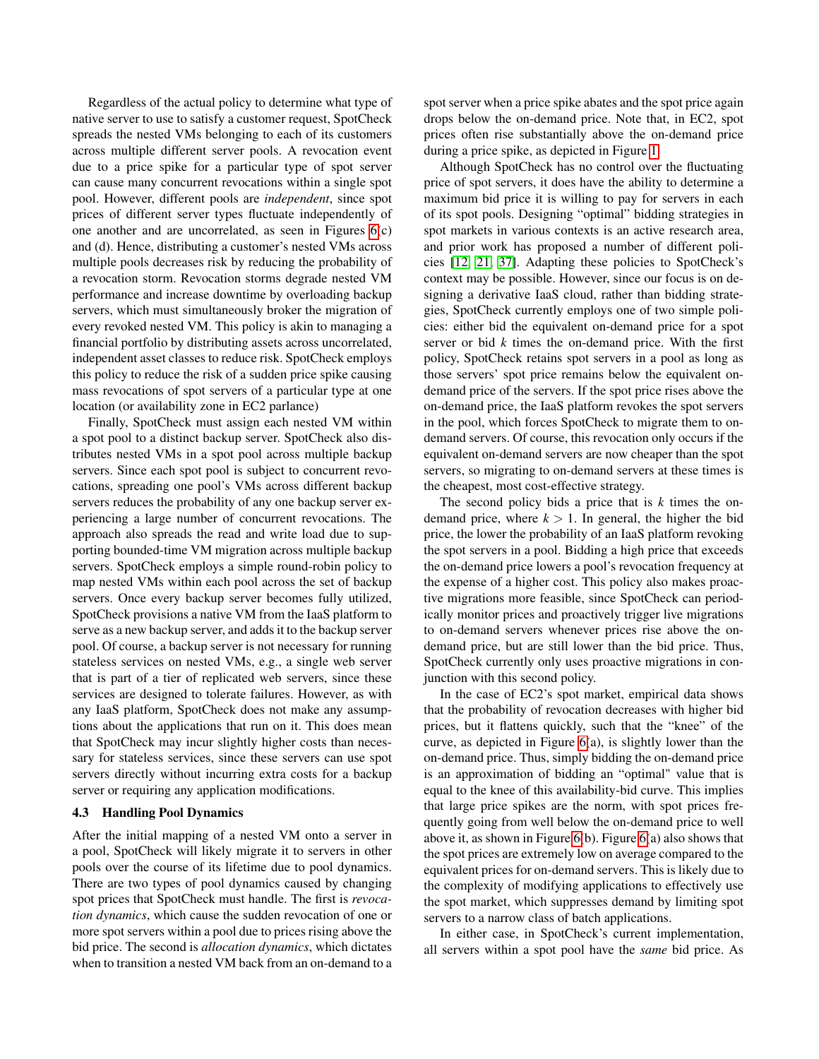Regardless of the actual policy to determine what type of native server to use to satisfy a customer request, SpotCheck spreads the nested VMs belonging to each of its customers across multiple different server pools. A revocation event due to a price spike for a particular type of spot server can cause many concurrent revocations within a single spot pool. However, different pools are *independent*, since spot prices of different server types fluctuate independently of one another and are uncorrelated, as seen in Figures [6\(](#page-7-0)c) and (d). Hence, distributing a customer's nested VMs across multiple pools decreases risk by reducing the probability of a revocation storm. Revocation storms degrade nested VM performance and increase downtime by overloading backup servers, which must simultaneously broker the migration of every revoked nested VM. This policy is akin to managing a financial portfolio by distributing assets across uncorrelated, independent asset classes to reduce risk. SpotCheck employs this policy to reduce the risk of a sudden price spike causing mass revocations of spot servers of a particular type at one location (or availability zone in EC2 parlance)

Finally, SpotCheck must assign each nested VM within a spot pool to a distinct backup server. SpotCheck also distributes nested VMs in a spot pool across multiple backup servers. Since each spot pool is subject to concurrent revocations, spreading one pool's VMs across different backup servers reduces the probability of any one backup server experiencing a large number of concurrent revocations. The approach also spreads the read and write load due to supporting bounded-time VM migration across multiple backup servers. SpotCheck employs a simple round-robin policy to map nested VMs within each pool across the set of backup servers. Once every backup server becomes fully utilized, SpotCheck provisions a native VM from the IaaS platform to serve as a new backup server, and adds it to the backup server pool. Of course, a backup server is not necessary for running stateless services on nested VMs, e.g., a single web server that is part of a tier of replicated web servers, since these services are designed to tolerate failures. However, as with any IaaS platform, SpotCheck does not make any assumptions about the applications that run on it. This does mean that SpotCheck may incur slightly higher costs than necessary for stateless services, since these servers can use spot servers directly without incurring extra costs for a backup server or requiring any application modifications.

#### 4.3 Handling Pool Dynamics

After the initial mapping of a nested VM onto a server in a pool, SpotCheck will likely migrate it to servers in other pools over the course of its lifetime due to pool dynamics. There are two types of pool dynamics caused by changing spot prices that SpotCheck must handle. The first is *revocation dynamics*, which cause the sudden revocation of one or more spot servers within a pool due to prices rising above the bid price. The second is *allocation dynamics*, which dictates when to transition a nested VM back from an on-demand to a

spot server when a price spike abates and the spot price again drops below the on-demand price. Note that, in EC2, spot prices often rise substantially above the on-demand price during a price spike, as depicted in Figure [1.](#page-1-0)

Although SpotCheck has no control over the fluctuating price of spot servers, it does have the ability to determine a maximum bid price it is willing to pay for servers in each of its spot pools. Designing "optimal" bidding strategies in spot markets in various contexts is an active research area, and prior work has proposed a number of different policies [\[12,](#page-14-15) [21,](#page-14-4) [37\]](#page-14-16). Adapting these policies to SpotCheck's context may be possible. However, since our focus is on designing a derivative IaaS cloud, rather than bidding strategies, SpotCheck currently employs one of two simple policies: either bid the equivalent on-demand price for a spot server or bid *k* times the on-demand price. With the first policy, SpotCheck retains spot servers in a pool as long as those servers' spot price remains below the equivalent ondemand price of the servers. If the spot price rises above the on-demand price, the IaaS platform revokes the spot servers in the pool, which forces SpotCheck to migrate them to ondemand servers. Of course, this revocation only occurs if the equivalent on-demand servers are now cheaper than the spot servers, so migrating to on-demand servers at these times is the cheapest, most cost-effective strategy.

The second policy bids a price that is *k* times the ondemand price, where  $k > 1$ . In general, the higher the bid price, the lower the probability of an IaaS platform revoking the spot servers in a pool. Bidding a high price that exceeds the on-demand price lowers a pool's revocation frequency at the expense of a higher cost. This policy also makes proactive migrations more feasible, since SpotCheck can periodically monitor prices and proactively trigger live migrations to on-demand servers whenever prices rise above the ondemand price, but are still lower than the bid price. Thus, SpotCheck currently only uses proactive migrations in conjunction with this second policy.

In the case of EC2's spot market, empirical data shows that the probability of revocation decreases with higher bid prices, but it flattens quickly, such that the "knee" of the curve, as depicted in Figure [6\(](#page-7-0)a), is slightly lower than the on-demand price. Thus, simply bidding the on-demand price is an approximation of bidding an "optimal" value that is equal to the knee of this availability-bid curve. This implies that large price spikes are the norm, with spot prices frequently going from well below the on-demand price to well above it, as shown in Figure [6\(](#page-7-0)b). Figure [6\(](#page-7-0)a) also shows that the spot prices are extremely low on average compared to the equivalent prices for on-demand servers. This is likely due to the complexity of modifying applications to effectively use the spot market, which suppresses demand by limiting spot servers to a narrow class of batch applications.

In either case, in SpotCheck's current implementation, all servers within a spot pool have the *same* bid price. As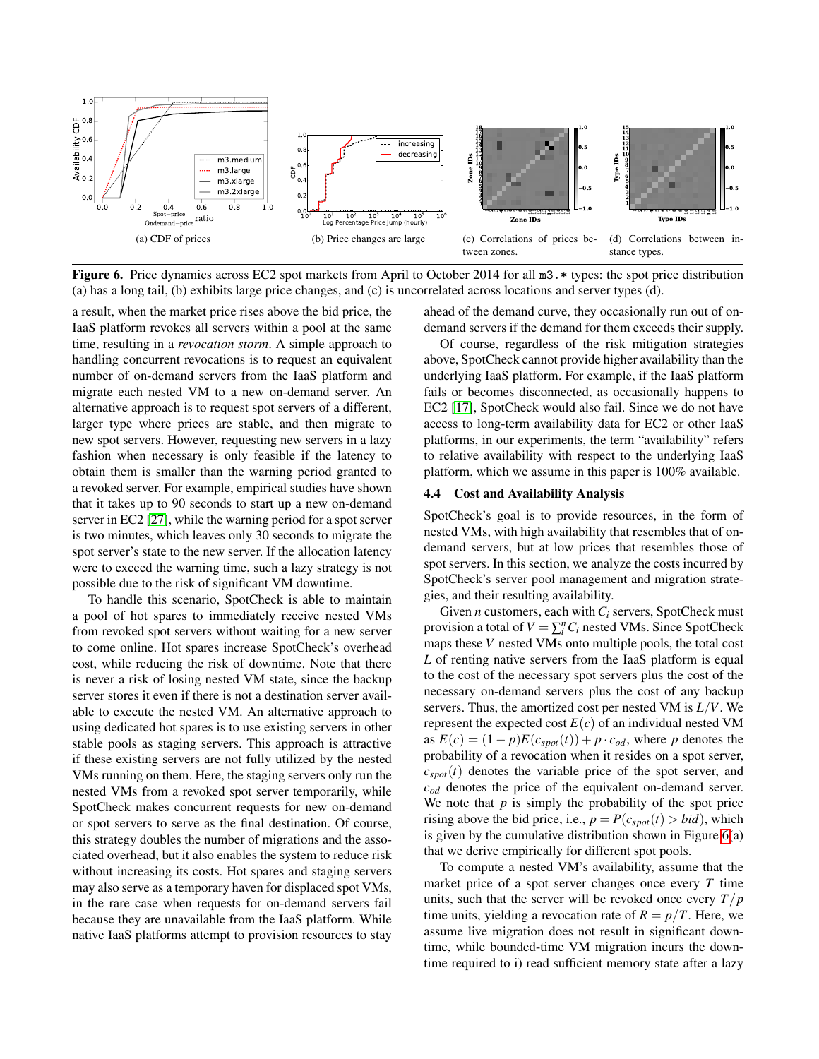

<span id="page-7-0"></span>Figure 6. Price dynamics across EC2 spot markets from April to October 2014 for all m3. \* types: the spot price distribution (a) has a long tail, (b) exhibits large price changes, and (c) is uncorrelated across locations and server types (d).

a result, when the market price rises above the bid price, the IaaS platform revokes all servers within a pool at the same time, resulting in a *revocation storm*. A simple approach to handling concurrent revocations is to request an equivalent number of on-demand servers from the IaaS platform and migrate each nested VM to a new on-demand server. An alternative approach is to request spot servers of a different, larger type where prices are stable, and then migrate to new spot servers. However, requesting new servers in a lazy fashion when necessary is only feasible if the latency to obtain them is smaller than the warning period granted to a revoked server. For example, empirical studies have shown that it takes up to 90 seconds to start up a new on-demand server in EC2 [\[27\]](#page-14-17), while the warning period for a spot server is two minutes, which leaves only 30 seconds to migrate the spot server's state to the new server. If the allocation latency were to exceed the warning time, such a lazy strategy is not possible due to the risk of significant VM downtime.

To handle this scenario, SpotCheck is able to maintain a pool of hot spares to immediately receive nested VMs from revoked spot servers without waiting for a new server to come online. Hot spares increase SpotCheck's overhead cost, while reducing the risk of downtime. Note that there is never a risk of losing nested VM state, since the backup server stores it even if there is not a destination server available to execute the nested VM. An alternative approach to using dedicated hot spares is to use existing servers in other stable pools as staging servers. This approach is attractive if these existing servers are not fully utilized by the nested VMs running on them. Here, the staging servers only run the nested VMs from a revoked spot server temporarily, while SpotCheck makes concurrent requests for new on-demand or spot servers to serve as the final destination. Of course, this strategy doubles the number of migrations and the associated overhead, but it also enables the system to reduce risk without increasing its costs. Hot spares and staging servers may also serve as a temporary haven for displaced spot VMs, in the rare case when requests for on-demand servers fail because they are unavailable from the IaaS platform. While native IaaS platforms attempt to provision resources to stay

ahead of the demand curve, they occasionally run out of ondemand servers if the demand for them exceeds their supply.

Of course, regardless of the risk mitigation strategies above, SpotCheck cannot provide higher availability than the underlying IaaS platform. For example, if the IaaS platform fails or becomes disconnected, as occasionally happens to EC2 [\[17\]](#page-14-18), SpotCheck would also fail. Since we do not have access to long-term availability data for EC2 or other IaaS platforms, in our experiments, the term "availability" refers to relative availability with respect to the underlying IaaS platform, which we assume in this paper is 100% available.

#### <span id="page-7-1"></span>4.4 Cost and Availability Analysis

SpotCheck's goal is to provide resources, in the form of nested VMs, with high availability that resembles that of ondemand servers, but at low prices that resembles those of spot servers. In this section, we analyze the costs incurred by SpotCheck's server pool management and migration strategies, and their resulting availability.

Given *n* customers, each with*C<sup>i</sup>* servers, SpotCheck must provision a total of  $V = \sum_{i}^{n} C_i$  nested VMs. Since SpotCheck maps these *V* nested VMs onto multiple pools, the total cost *L* of renting native servers from the IaaS platform is equal to the cost of the necessary spot servers plus the cost of the necessary on-demand servers plus the cost of any backup servers. Thus, the amortized cost per nested VM is *L*/*V*. We represent the expected cost  $E(c)$  of an individual nested VM as  $E(c) = (1 - p)E(c_{spot}(t)) + p \cdot c_{od}$ , where *p* denotes the probability of a revocation when it resides on a spot server,  $c<sub>spot</sub>(t)$  denotes the variable price of the spot server, and *cod* denotes the price of the equivalent on-demand server. We note that *p* is simply the probability of the spot price rising above the bid price, i.e.,  $p = P(c_{spot}(t) > bid)$ , which is given by the cumulative distribution shown in Figure  $6(a)$ that we derive empirically for different spot pools.

To compute a nested VM's availability, assume that the market price of a spot server changes once every *T* time units, such that the server will be revoked once every  $T/p$ time units, yielding a revocation rate of  $R = p/T$ . Here, we assume live migration does not result in significant downtime, while bounded-time VM migration incurs the downtime required to i) read sufficient memory state after a lazy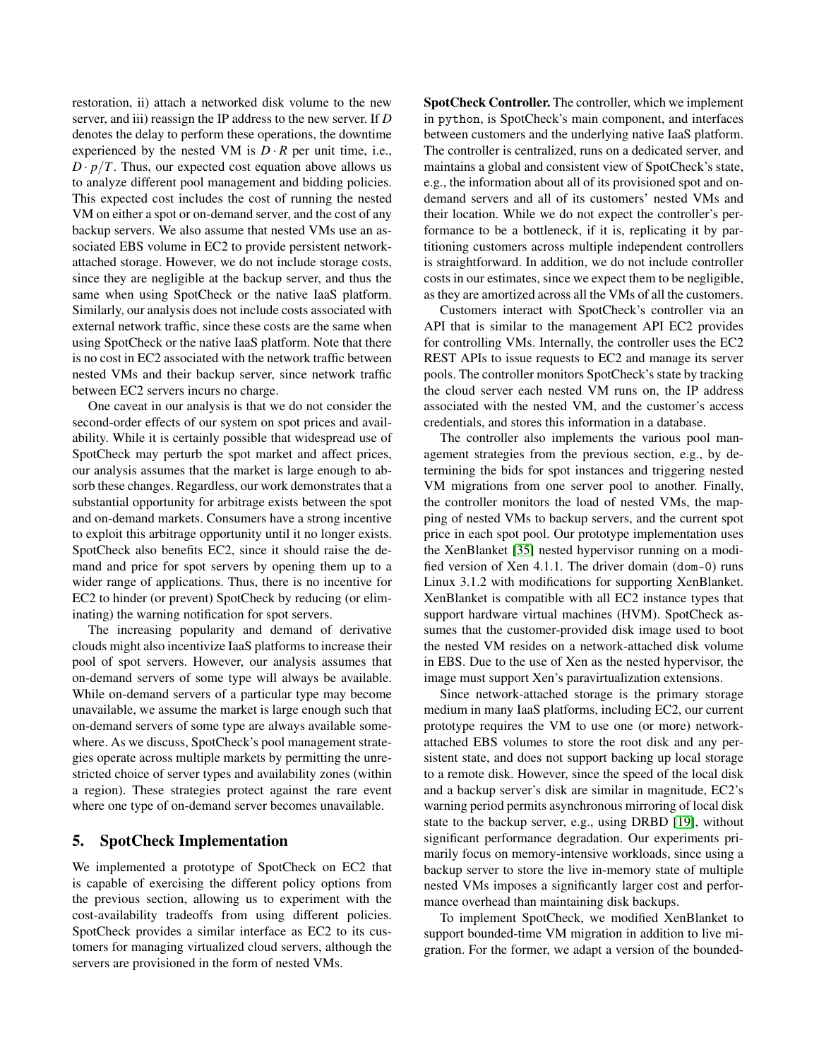restoration, ii) attach a networked disk volume to the new server, and iii) reassign the IP address to the new server. If *D* denotes the delay to perform these operations, the downtime experienced by the nested VM is  $D \cdot R$  per unit time, i.e.,  $D \cdot p/T$ . Thus, our expected cost equation above allows us to analyze different pool management and bidding policies. This expected cost includes the cost of running the nested VM on either a spot or on-demand server, and the cost of any backup servers. We also assume that nested VMs use an associated EBS volume in EC2 to provide persistent networkattached storage. However, we do not include storage costs, since they are negligible at the backup server, and thus the same when using SpotCheck or the native IaaS platform. Similarly, our analysis does not include costs associated with external network traffic, since these costs are the same when using SpotCheck or the native IaaS platform. Note that there is no cost in EC2 associated with the network traffic between nested VMs and their backup server, since network traffic between EC2 servers incurs no charge.

One caveat in our analysis is that we do not consider the second-order effects of our system on spot prices and availability. While it is certainly possible that widespread use of SpotCheck may perturb the spot market and affect prices, our analysis assumes that the market is large enough to absorb these changes. Regardless, our work demonstrates that a substantial opportunity for arbitrage exists between the spot and on-demand markets. Consumers have a strong incentive to exploit this arbitrage opportunity until it no longer exists. SpotCheck also benefits EC2, since it should raise the demand and price for spot servers by opening them up to a wider range of applications. Thus, there is no incentive for EC2 to hinder (or prevent) SpotCheck by reducing (or eliminating) the warning notification for spot servers.

The increasing popularity and demand of derivative clouds might also incentivize IaaS platforms to increase their pool of spot servers. However, our analysis assumes that on-demand servers of some type will always be available. While on-demand servers of a particular type may become unavailable, we assume the market is large enough such that on-demand servers of some type are always available somewhere. As we discuss, SpotCheck's pool management strategies operate across multiple markets by permitting the unrestricted choice of server types and availability zones (within a region). These strategies protect against the rare event where one type of on-demand server becomes unavailable.

# <span id="page-8-0"></span>5. SpotCheck Implementation

We implemented a prototype of SpotCheck on EC2 that is capable of exercising the different policy options from the previous section, allowing us to experiment with the cost-availability tradeoffs from using different policies. SpotCheck provides a similar interface as EC2 to its customers for managing virtualized cloud servers, although the servers are provisioned in the form of nested VMs.

SpotCheck Controller. The controller, which we implement in python, is SpotCheck's main component, and interfaces between customers and the underlying native IaaS platform. The controller is centralized, runs on a dedicated server, and maintains a global and consistent view of SpotCheck's state, e.g., the information about all of its provisioned spot and ondemand servers and all of its customers' nested VMs and their location. While we do not expect the controller's performance to be a bottleneck, if it is, replicating it by partitioning customers across multiple independent controllers is straightforward. In addition, we do not include controller costs in our estimates, since we expect them to be negligible, as they are amortized across all the VMs of all the customers.

Customers interact with SpotCheck's controller via an API that is similar to the management API EC2 provides for controlling VMs. Internally, the controller uses the EC2 REST APIs to issue requests to EC2 and manage its server pools. The controller monitors SpotCheck's state by tracking the cloud server each nested VM runs on, the IP address associated with the nested VM, and the customer's access credentials, and stores this information in a database.

The controller also implements the various pool management strategies from the previous section, e.g., by determining the bids for spot instances and triggering nested VM migrations from one server pool to another. Finally, the controller monitors the load of nested VMs, the mapping of nested VMs to backup servers, and the current spot price in each spot pool. Our prototype implementation uses the XenBlanket [\[35\]](#page-14-6) nested hypervisor running on a modified version of Xen 4.1.1. The driver domain (dom-0) runs Linux 3.1.2 with modifications for supporting XenBlanket. XenBlanket is compatible with all EC2 instance types that support hardware virtual machines (HVM). SpotCheck assumes that the customer-provided disk image used to boot the nested VM resides on a network-attached disk volume in EBS. Due to the use of Xen as the nested hypervisor, the image must support Xen's paravirtualization extensions.

Since network-attached storage is the primary storage medium in many IaaS platforms, including EC2, our current prototype requires the VM to use one (or more) networkattached EBS volumes to store the root disk and any persistent state, and does not support backing up local storage to a remote disk. However, since the speed of the local disk and a backup server's disk are similar in magnitude, EC2's warning period permits asynchronous mirroring of local disk state to the backup server, e.g., using DRBD [\[19\]](#page-14-19), without significant performance degradation. Our experiments primarily focus on memory-intensive workloads, since using a backup server to store the live in-memory state of multiple nested VMs imposes a significantly larger cost and performance overhead than maintaining disk backups.

To implement SpotCheck, we modified XenBlanket to support bounded-time VM migration in addition to live migration. For the former, we adapt a version of the bounded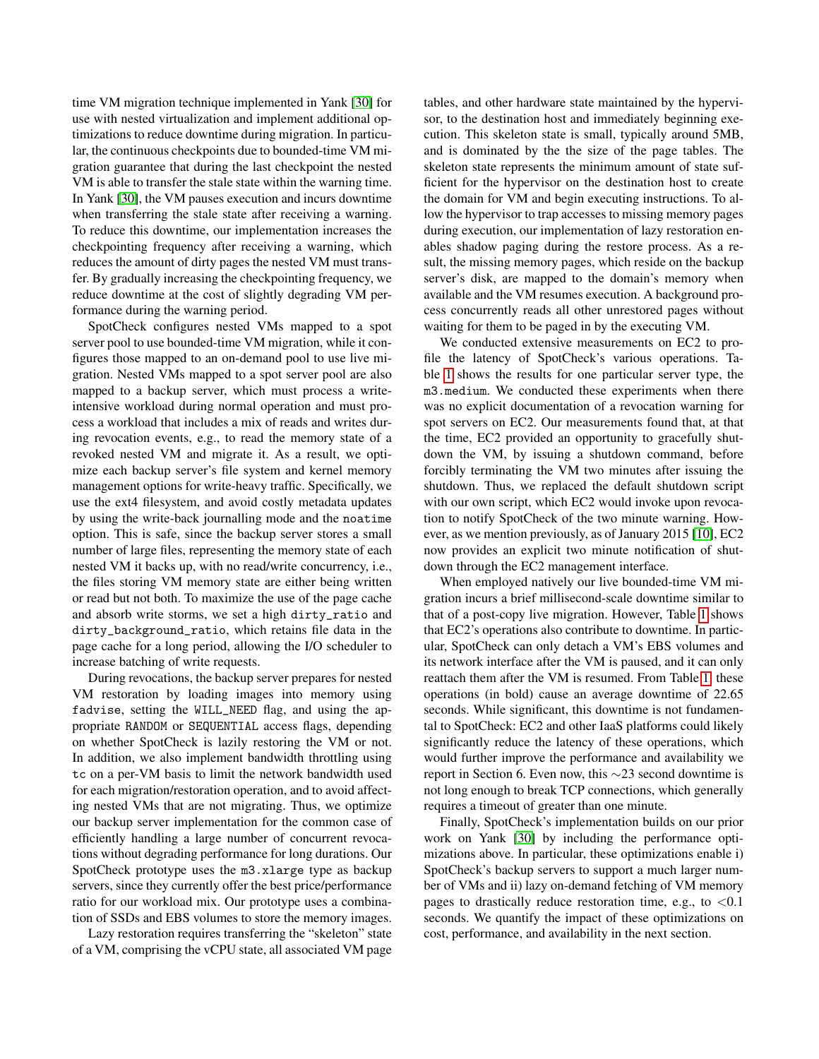time VM migration technique implemented in Yank [\[30\]](#page-14-12) for use with nested virtualization and implement additional optimizations to reduce downtime during migration. In particular, the continuous checkpoints due to bounded-time VM migration guarantee that during the last checkpoint the nested VM is able to transfer the stale state within the warning time. In Yank [\[30\]](#page-14-12), the VM pauses execution and incurs downtime when transferring the stale state after receiving a warning. To reduce this downtime, our implementation increases the checkpointing frequency after receiving a warning, which reduces the amount of dirty pages the nested VM must transfer. By gradually increasing the checkpointing frequency, we reduce downtime at the cost of slightly degrading VM performance during the warning period.

SpotCheck configures nested VMs mapped to a spot server pool to use bounded-time VM migration, while it configures those mapped to an on-demand pool to use live migration. Nested VMs mapped to a spot server pool are also mapped to a backup server, which must process a writeintensive workload during normal operation and must process a workload that includes a mix of reads and writes during revocation events, e.g., to read the memory state of a revoked nested VM and migrate it. As a result, we optimize each backup server's file system and kernel memory management options for write-heavy traffic. Specifically, we use the ext4 filesystem, and avoid costly metadata updates by using the write-back journalling mode and the noatime option. This is safe, since the backup server stores a small number of large files, representing the memory state of each nested VM it backs up, with no read/write concurrency, i.e., the files storing VM memory state are either being written or read but not both. To maximize the use of the page cache and absorb write storms, we set a high dirty\_ratio and dirty\_background\_ratio, which retains file data in the page cache for a long period, allowing the I/O scheduler to increase batching of write requests.

During revocations, the backup server prepares for nested VM restoration by loading images into memory using fadvise, setting the WILL\_NEED flag, and using the appropriate RANDOM or SEQUENTIAL access flags, depending on whether SpotCheck is lazily restoring the VM or not. In addition, we also implement bandwidth throttling using tc on a per-VM basis to limit the network bandwidth used for each migration/restoration operation, and to avoid affecting nested VMs that are not migrating. Thus, we optimize our backup server implementation for the common case of efficiently handling a large number of concurrent revocations without degrading performance for long durations. Our SpotCheck prototype uses the m3.xlarge type as backup servers, since they currently offer the best price/performance ratio for our workload mix. Our prototype uses a combination of SSDs and EBS volumes to store the memory images.

Lazy restoration requires transferring the "skeleton" state of a VM, comprising the vCPU state, all associated VM page

tables, and other hardware state maintained by the hypervisor, to the destination host and immediately beginning execution. This skeleton state is small, typically around 5MB, and is dominated by the the size of the page tables. The skeleton state represents the minimum amount of state sufficient for the hypervisor on the destination host to create the domain for VM and begin executing instructions. To allow the hypervisor to trap accesses to missing memory pages during execution, our implementation of lazy restoration enables shadow paging during the restore process. As a result, the missing memory pages, which reside on the backup server's disk, are mapped to the domain's memory when available and the VM resumes execution. A background process concurrently reads all other unrestored pages without waiting for them to be paged in by the executing VM.

We conducted extensive measurements on EC2 to profile the latency of SpotCheck's various operations. Table [1](#page-10-1) shows the results for one particular server type, the m3.medium. We conducted these experiments when there was no explicit documentation of a revocation warning for spot servers on EC2. Our measurements found that, at that the time, EC2 provided an opportunity to gracefully shutdown the VM, by issuing a shutdown command, before forcibly terminating the VM two minutes after issuing the shutdown. Thus, we replaced the default shutdown script with our own script, which EC2 would invoke upon revocation to notify SpotCheck of the two minute warning. However, as we mention previously, as of January 2015 [\[10\]](#page-14-11), EC2 now provides an explicit two minute notification of shutdown through the EC2 management interface.

When employed natively our live bounded-time VM migration incurs a brief millisecond-scale downtime similar to that of a post-copy live migration. However, Table [1](#page-10-1) shows that EC2's operations also contribute to downtime. In particular, SpotCheck can only detach a VM's EBS volumes and its network interface after the VM is paused, and it can only reattach them after the VM is resumed. From Table [1,](#page-10-1) these operations (in bold) cause an average downtime of 22.65 seconds. While significant, this downtime is not fundamental to SpotCheck: EC2 and other IaaS platforms could likely significantly reduce the latency of these operations, which would further improve the performance and availability we report in Section 6. Even now, this ∼23 second downtime is not long enough to break TCP connections, which generally requires a timeout of greater than one minute.

Finally, SpotCheck's implementation builds on our prior work on Yank [\[30\]](#page-14-12) by including the performance optimizations above. In particular, these optimizations enable i) SpotCheck's backup servers to support a much larger number of VMs and ii) lazy on-demand fetching of VM memory pages to drastically reduce restoration time, e.g., to  $< 0.1$ seconds. We quantify the impact of these optimizations on cost, performance, and availability in the next section.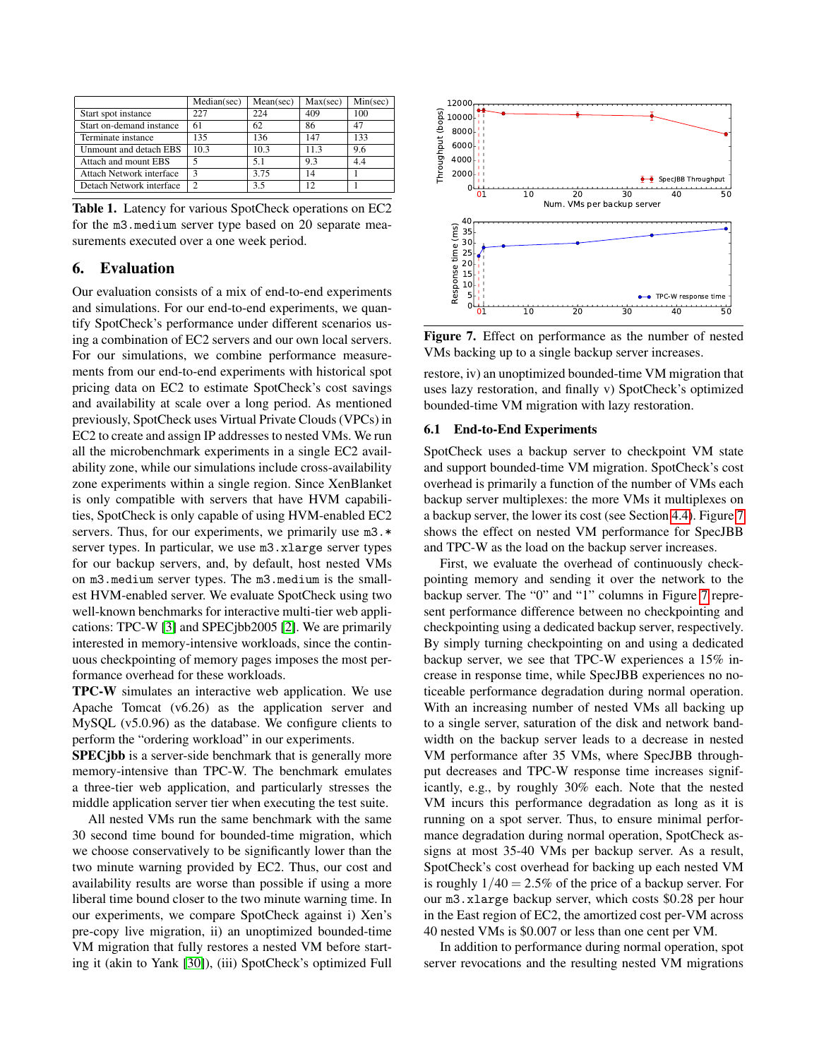|                          | Median(sec)    | Mean(sec) | Max(sec) | Min(sec) |
|--------------------------|----------------|-----------|----------|----------|
| Start spot instance      | 227            | 224       | 409      | 100      |
| Start on-demand instance | 61             | 62        | 86       | 47       |
| Terminate instance       | 135            | 136       | 147      | 133      |
| Unmount and detach EBS   | 10.3           | 10.3      | 11.3     | 9.6      |
| Attach and mount EBS     | 5              | 5.1       | 93       | 44       |
| Attach Network interface | 3              | 3.75      | 14       |          |
| Detach Network interface | $\overline{2}$ | 3.5       | 12       |          |

<span id="page-10-1"></span>Table 1. Latency for various SpotCheck operations on EC2 for the m3.medium server type based on 20 separate measurements executed over a one week period.

## <span id="page-10-0"></span>6. Evaluation

Our evaluation consists of a mix of end-to-end experiments and simulations. For our end-to-end experiments, we quantify SpotCheck's performance under different scenarios using a combination of EC2 servers and our own local servers. For our simulations, we combine performance measurements from our end-to-end experiments with historical spot pricing data on EC2 to estimate SpotCheck's cost savings and availability at scale over a long period. As mentioned previously, SpotCheck uses Virtual Private Clouds (VPCs) in EC2 to create and assign IP addresses to nested VMs. We run all the microbenchmark experiments in a single EC2 availability zone, while our simulations include cross-availability zone experiments within a single region. Since XenBlanket is only compatible with servers that have HVM capabilities, SpotCheck is only capable of using HVM-enabled EC2 servers. Thus, for our experiments, we primarily use  $m3.*$ server types. In particular, we use m3.xlarge server types for our backup servers, and, by default, host nested VMs on m3.medium server types. The m3.medium is the smallest HVM-enabled server. We evaluate SpotCheck using two well-known benchmarks for interactive multi-tier web applications: TPC-W [\[3\]](#page-14-20) and SPECjbb2005 [\[2\]](#page-14-21). We are primarily interested in memory-intensive workloads, since the continuous checkpointing of memory pages imposes the most performance overhead for these workloads.

TPC-W simulates an interactive web application. We use Apache Tomcat (v6.26) as the application server and MySQL (v5.0.96) as the database. We configure clients to perform the "ordering workload" in our experiments.

SPECjbb is a server-side benchmark that is generally more memory-intensive than TPC-W. The benchmark emulates a three-tier web application, and particularly stresses the middle application server tier when executing the test suite.

All nested VMs run the same benchmark with the same 30 second time bound for bounded-time migration, which we choose conservatively to be significantly lower than the two minute warning provided by EC2. Thus, our cost and availability results are worse than possible if using a more liberal time bound closer to the two minute warning time. In our experiments, we compare SpotCheck against i) Xen's pre-copy live migration, ii) an unoptimized bounded-time VM migration that fully restores a nested VM before starting it (akin to Yank [\[30\]](#page-14-12)), (iii) SpotCheck's optimized Full



<span id="page-10-2"></span>Figure 7. Effect on performance as the number of nested VMs backing up to a single backup server increases.

restore, iv) an unoptimized bounded-time VM migration that uses lazy restoration, and finally v) SpotCheck's optimized bounded-time VM migration with lazy restoration.

#### 6.1 End-to-End Experiments

SpotCheck uses a backup server to checkpoint VM state and support bounded-time VM migration. SpotCheck's cost overhead is primarily a function of the number of VMs each backup server multiplexes: the more VMs it multiplexes on a backup server, the lower its cost (see Section [4.4\)](#page-7-1). Figure [7](#page-10-2) shows the effect on nested VM performance for SpecJBB and TPC-W as the load on the backup server increases.

First, we evaluate the overhead of continuously checkpointing memory and sending it over the network to the backup server. The "0" and "1" columns in Figure [7](#page-10-2) represent performance difference between no checkpointing and checkpointing using a dedicated backup server, respectively. By simply turning checkpointing on and using a dedicated backup server, we see that TPC-W experiences a 15% increase in response time, while SpecJBB experiences no noticeable performance degradation during normal operation. With an increasing number of nested VMs all backing up to a single server, saturation of the disk and network bandwidth on the backup server leads to a decrease in nested VM performance after 35 VMs, where SpecJBB throughput decreases and TPC-W response time increases significantly, e.g., by roughly 30% each. Note that the nested VM incurs this performance degradation as long as it is running on a spot server. Thus, to ensure minimal performance degradation during normal operation, SpotCheck assigns at most 35-40 VMs per backup server. As a result, SpotCheck's cost overhead for backing up each nested VM is roughly  $1/40 = 2.5\%$  of the price of a backup server. For our m3.xlarge backup server, which costs \$0.28 per hour in the East region of EC2, the amortized cost per-VM across 40 nested VMs is \$0.007 or less than one cent per VM.

In addition to performance during normal operation, spot server revocations and the resulting nested VM migrations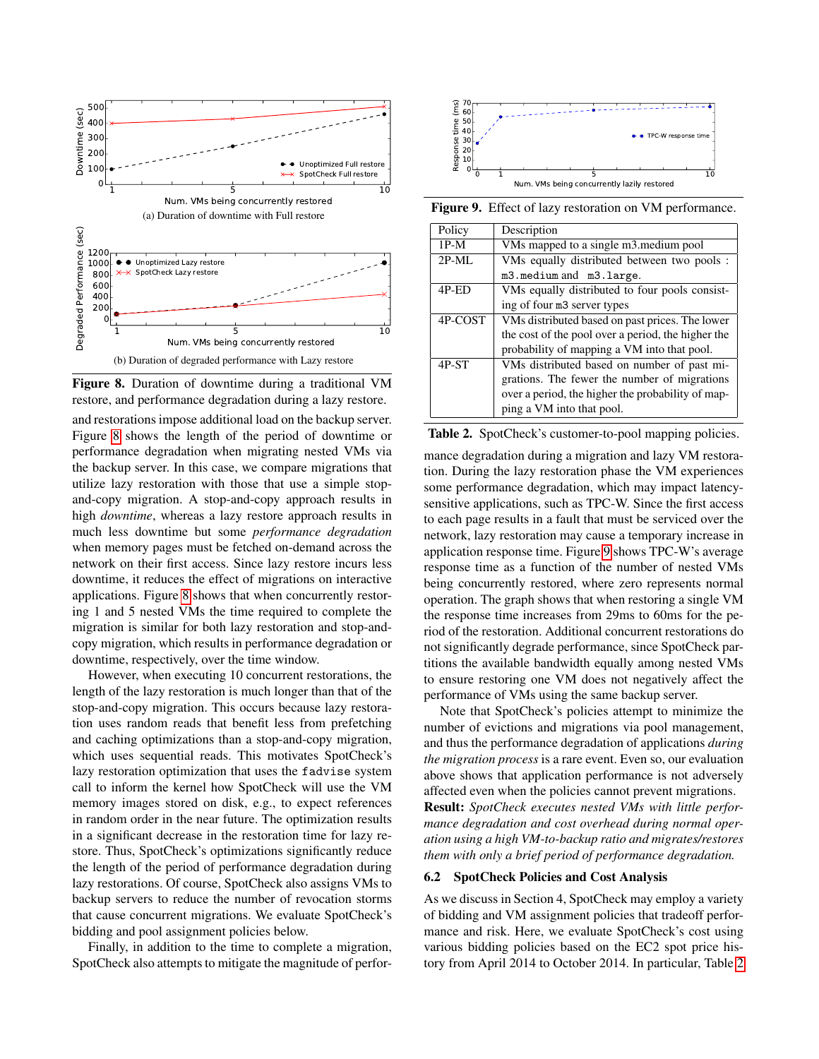

<span id="page-11-0"></span>Figure 8. Duration of downtime during a traditional VM restore, and performance degradation during a lazy restore.

and restorations impose additional load on the backup server. Figure [8](#page-11-0) shows the length of the period of downtime or performance degradation when migrating nested VMs via the backup server. In this case, we compare migrations that utilize lazy restoration with those that use a simple stopand-copy migration. A stop-and-copy approach results in high *downtime*, whereas a lazy restore approach results in much less downtime but some *performance degradation* when memory pages must be fetched on-demand across the network on their first access. Since lazy restore incurs less downtime, it reduces the effect of migrations on interactive applications. Figure [8](#page-11-0) shows that when concurrently restoring 1 and 5 nested VMs the time required to complete the migration is similar for both lazy restoration and stop-andcopy migration, which results in performance degradation or downtime, respectively, over the time window.

However, when executing 10 concurrent restorations, the length of the lazy restoration is much longer than that of the stop-and-copy migration. This occurs because lazy restoration uses random reads that benefit less from prefetching and caching optimizations than a stop-and-copy migration, which uses sequential reads. This motivates SpotCheck's lazy restoration optimization that uses the fadvise system call to inform the kernel how SpotCheck will use the VM memory images stored on disk, e.g., to expect references in random order in the near future. The optimization results in a significant decrease in the restoration time for lazy restore. Thus, SpotCheck's optimizations significantly reduce the length of the period of performance degradation during lazy restorations. Of course, SpotCheck also assigns VMs to backup servers to reduce the number of revocation storms that cause concurrent migrations. We evaluate SpotCheck's bidding and pool assignment policies below.

Finally, in addition to the time to complete a migration, SpotCheck also attempts to mitigate the magnitude of perfor-



<span id="page-11-1"></span>Figure 9. Effect of lazy restoration on VM performance.

| Policy  | Description                                        |  |  |
|---------|----------------------------------------------------|--|--|
| $1P-M$  | VMs mapped to a single m3.medium pool              |  |  |
| $2P-ML$ | VMs equally distributed between two pools :        |  |  |
|         | m3. medium and m3. large.                          |  |  |
| 4P-ED   | VMs equally distributed to four pools consist-     |  |  |
|         | ing of four m3 server types                        |  |  |
| 4P-COST | VMs distributed based on past prices. The lower    |  |  |
|         | the cost of the pool over a period, the higher the |  |  |
|         | probability of mapping a VM into that pool.        |  |  |
| 4P-ST   | VMs distributed based on number of past mi-        |  |  |
|         | grations. The fewer the number of migrations       |  |  |
|         | over a period, the higher the probability of map-  |  |  |
|         | ping a VM into that pool.                          |  |  |

<span id="page-11-2"></span>

|  | Table 2. SpotCheck's customer-to-pool mapping policies. |  |  |
|--|---------------------------------------------------------|--|--|
|--|---------------------------------------------------------|--|--|

mance degradation during a migration and lazy VM restoration. During the lazy restoration phase the VM experiences some performance degradation, which may impact latencysensitive applications, such as TPC-W. Since the first access to each page results in a fault that must be serviced over the network, lazy restoration may cause a temporary increase in application response time. Figure [9](#page-11-1) shows TPC-W's average response time as a function of the number of nested VMs being concurrently restored, where zero represents normal operation. The graph shows that when restoring a single VM the response time increases from 29ms to 60ms for the period of the restoration. Additional concurrent restorations do not significantly degrade performance, since SpotCheck partitions the available bandwidth equally among nested VMs to ensure restoring one VM does not negatively affect the performance of VMs using the same backup server.

Note that SpotCheck's policies attempt to minimize the number of evictions and migrations via pool management, and thus the performance degradation of applications *during the migration process* is a rare event. Even so, our evaluation above shows that application performance is not adversely affected even when the policies cannot prevent migrations. Result: *SpotCheck executes nested VMs with little performance degradation and cost overhead during normal operation using a high VM-to-backup ratio and migrates/restores them with only a brief period of performance degradation.*

#### 6.2 SpotCheck Policies and Cost Analysis

As we discuss in Section 4, SpotCheck may employ a variety of bidding and VM assignment policies that tradeoff performance and risk. Here, we evaluate SpotCheck's cost using various bidding policies based on the EC2 spot price history from April 2014 to October 2014. In particular, Table [2](#page-11-2)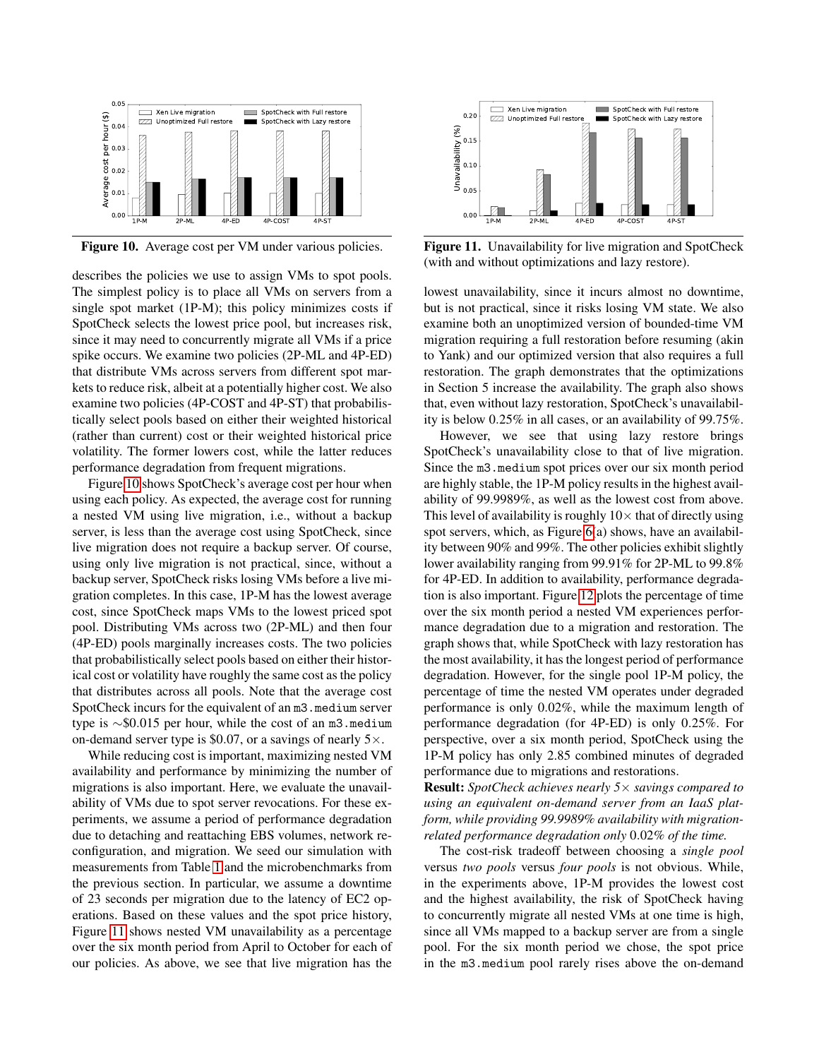

<span id="page-12-0"></span>Figure 10. Average cost per VM under various policies.

describes the policies we use to assign VMs to spot pools. The simplest policy is to place all VMs on servers from a single spot market (1P-M); this policy minimizes costs if SpotCheck selects the lowest price pool, but increases risk, since it may need to concurrently migrate all VMs if a price spike occurs. We examine two policies (2P-ML and 4P-ED) that distribute VMs across servers from different spot markets to reduce risk, albeit at a potentially higher cost. We also examine two policies (4P-COST and 4P-ST) that probabilistically select pools based on either their weighted historical (rather than current) cost or their weighted historical price volatility. The former lowers cost, while the latter reduces performance degradation from frequent migrations.

Figure [10](#page-12-0) shows SpotCheck's average cost per hour when using each policy. As expected, the average cost for running a nested VM using live migration, i.e., without a backup server, is less than the average cost using SpotCheck, since live migration does not require a backup server. Of course, using only live migration is not practical, since, without a backup server, SpotCheck risks losing VMs before a live migration completes. In this case, 1P-M has the lowest average cost, since SpotCheck maps VMs to the lowest priced spot pool. Distributing VMs across two (2P-ML) and then four (4P-ED) pools marginally increases costs. The two policies that probabilistically select pools based on either their historical cost or volatility have roughly the same cost as the policy that distributes across all pools. Note that the average cost SpotCheck incurs for the equivalent of an m3.medium server type is ∼\$0.015 per hour, while the cost of an m3.medium on-demand server type is \$0.07, or a savings of nearly  $5 \times$ .

While reducing cost is important, maximizing nested VM availability and performance by minimizing the number of migrations is also important. Here, we evaluate the unavailability of VMs due to spot server revocations. For these experiments, we assume a period of performance degradation due to detaching and reattaching EBS volumes, network reconfiguration, and migration. We seed our simulation with measurements from Table [1](#page-10-1) and the microbenchmarks from the previous section. In particular, we assume a downtime of 23 seconds per migration due to the latency of EC2 operations. Based on these values and the spot price history, Figure [11](#page-12-1) shows nested VM unavailability as a percentage over the six month period from April to October for each of our policies. As above, we see that live migration has the



<span id="page-12-1"></span>Figure 11. Unavailability for live migration and SpotCheck (with and without optimizations and lazy restore).

lowest unavailability, since it incurs almost no downtime, but is not practical, since it risks losing VM state. We also examine both an unoptimized version of bounded-time VM migration requiring a full restoration before resuming (akin to Yank) and our optimized version that also requires a full restoration. The graph demonstrates that the optimizations in Section 5 increase the availability. The graph also shows that, even without lazy restoration, SpotCheck's unavailability is below 0.25% in all cases, or an availability of 99.75%.

However, we see that using lazy restore brings SpotCheck's unavailability close to that of live migration. Since the m3.medium spot prices over our six month period are highly stable, the 1P-M policy results in the highest availability of 99.9989%, as well as the lowest cost from above. This level of availability is roughly  $10\times$  that of directly using spot servers, which, as Figure [6\(](#page-7-0)a) shows, have an availability between 90% and 99%. The other policies exhibit slightly lower availability ranging from 99.91% for 2P-ML to 99.8% for 4P-ED. In addition to availability, performance degradation is also important. Figure [12](#page-13-0) plots the percentage of time over the six month period a nested VM experiences performance degradation due to a migration and restoration. The graph shows that, while SpotCheck with lazy restoration has the most availability, it has the longest period of performance degradation. However, for the single pool 1P-M policy, the percentage of time the nested VM operates under degraded performance is only 0.02%, while the maximum length of performance degradation (for 4P-ED) is only 0.25%. For perspective, over a six month period, SpotCheck using the 1P-M policy has only 2.85 combined minutes of degraded performance due to migrations and restorations.

Result: *SpotCheck achieves nearly 5*× *savings compared to using an equivalent on-demand server from an IaaS platform, while providing 99.9989% availability with migrationrelated performance degradation only* 0.02*% of the time.*

The cost-risk tradeoff between choosing a *single pool* versus *two pools* versus *four pools* is not obvious. While, in the experiments above, 1P-M provides the lowest cost and the highest availability, the risk of SpotCheck having to concurrently migrate all nested VMs at one time is high, since all VMs mapped to a backup server are from a single pool. For the six month period we chose, the spot price in the m3.medium pool rarely rises above the on-demand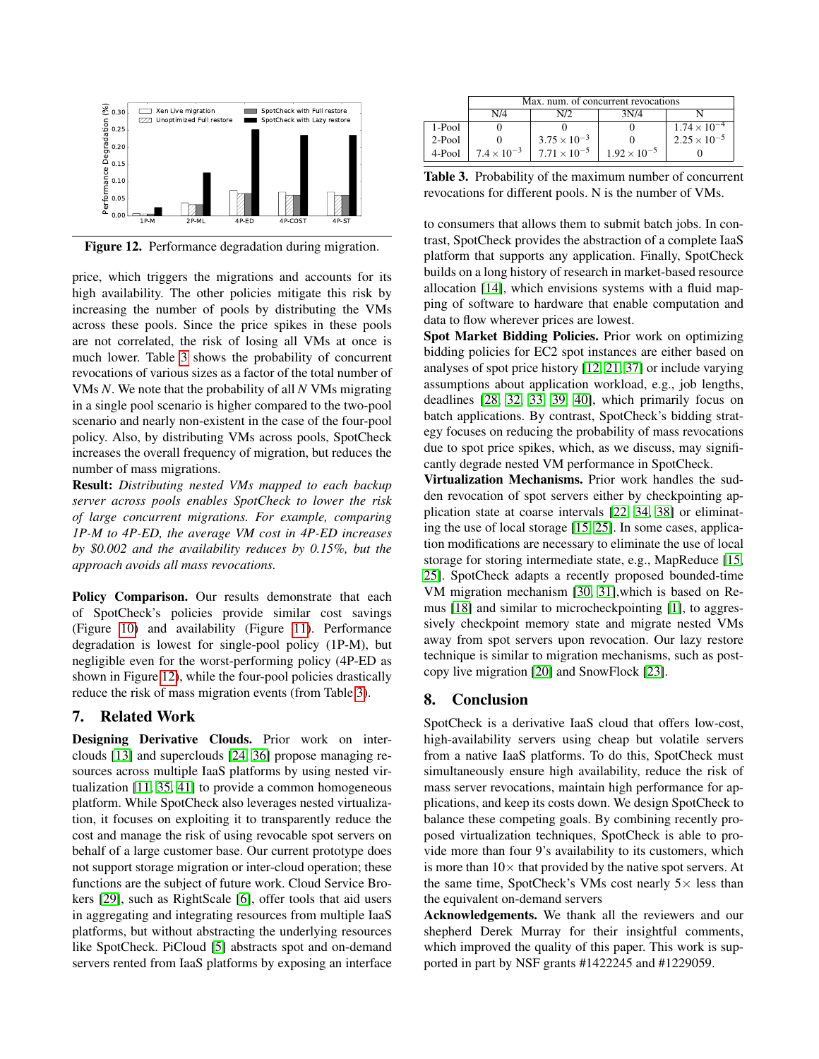

<span id="page-13-0"></span>Figure 12. Performance degradation during migration.

price, which triggers the migrations and accounts for its high availability. The other policies mitigate this risk by increasing the number of pools by distributing the VMs across these pools. Since the price spikes in these pools are not correlated, the risk of losing all VMs at once is much lower. Table [3](#page-13-1) shows the probability of concurrent revocations of various sizes as a factor of the total number of VMs *N*. We note that the probability of all *N* VMs migrating in a single pool scenario is higher compared to the two-pool scenario and nearly non-existent in the case of the four-pool policy. Also, by distributing VMs across pools, SpotCheck increases the overall frequency of migration, but reduces the number of mass migrations.

Result: *Distributing nested VMs mapped to each backup server across pools enables SpotCheck to lower the risk of large concurrent migrations. For example, comparing 1P-M to 4P-ED, the average VM cost in 4P-ED increases by \$0.002 and the availability reduces by 0.15%, but the approach avoids all mass revocations.*

Policy Comparison. Our results demonstrate that each of SpotCheck's policies provide similar cost savings (Figure [10\)](#page-12-0) and availability (Figure [11\)](#page-12-1). Performance degradation is lowest for single-pool policy (1P-M), but negligible even for the worst-performing policy (4P-ED as shown in Figure [12\)](#page-13-0), while the four-pool policies drastically reduce the risk of mass migration events (from Table [3\)](#page-13-1).

## 7. Related Work

Designing Derivative Clouds. Prior work on interclouds [\[13\]](#page-14-22) and superclouds [\[24,](#page-14-23) [36\]](#page-14-24) propose managing resources across multiple IaaS platforms by using nested virtualization [\[11,](#page-14-5) [35,](#page-14-6) [41\]](#page-14-25) to provide a common homogeneous platform. While SpotCheck also leverages nested virtualization, it focuses on exploiting it to transparently reduce the cost and manage the risk of using revocable spot servers on behalf of a large customer base. Our current prototype does not support storage migration or inter-cloud operation; these functions are the subject of future work. Cloud Service Brokers [\[29\]](#page-14-26), such as RightScale [\[6\]](#page-14-27), offer tools that aid users in aggregating and integrating resources from multiple IaaS platforms, but without abstracting the underlying resources like SpotCheck. PiCloud [\[5\]](#page-14-1) abstracts spot and on-demand servers rented from IaaS platforms by exposing an interface

|          | Max, num, of concurrent revocations |                       |                       |                       |  |
|----------|-------------------------------------|-----------------------|-----------------------|-----------------------|--|
|          | N/4                                 | N12                   | 3N/4                  |                       |  |
| 1-Pool   |                                     |                       |                       | $1.74 \times 10^{-4}$ |  |
| $2-Pool$ |                                     | $3.75 \times 10^{-3}$ |                       | $2.25 \times 10^{-5}$ |  |
| 4-Pool   | $7.4 \times 10^{-3}$                | $7.71 \times 10^{-5}$ | $1.92 \times 10^{-5}$ |                       |  |

<span id="page-13-1"></span>Table 3. Probability of the maximum number of concurrent revocations for different pools. N is the number of VMs.

to consumers that allows them to submit batch jobs. In contrast, SpotCheck provides the abstraction of a complete IaaS platform that supports any application. Finally, SpotCheck builds on a long history of research in market-based resource allocation [\[14\]](#page-14-28), which envisions systems with a fluid mapping of software to hardware that enable computation and data to flow wherever prices are lowest.

Spot Market Bidding Policies. Prior work on optimizing bidding policies for EC2 spot instances are either based on analyses of spot price history [\[12,](#page-14-15) [21,](#page-14-4) [37\]](#page-14-16) or include varying assumptions about application workload, e.g., job lengths, deadlines [\[28,](#page-14-29) [32,](#page-14-30) [33,](#page-14-31) [39,](#page-14-32) [40\]](#page-14-33), which primarily focus on batch applications. By contrast, SpotCheck's bidding strategy focuses on reducing the probability of mass revocations due to spot price spikes, which, as we discuss, may significantly degrade nested VM performance in SpotCheck.

Virtualization Mechanisms. Prior work handles the sudden revocation of spot servers either by checkpointing application state at coarse intervals [\[22,](#page-14-34) [34,](#page-14-35) [38\]](#page-14-36) or eliminating the use of local storage [\[15,](#page-14-37) [25\]](#page-14-38). In some cases, application modifications are necessary to eliminate the use of local storage for storing intermediate state, e.g., MapReduce [\[15,](#page-14-37) [25\]](#page-14-38). SpotCheck adapts a recently proposed bounded-time VM migration mechanism [\[30,](#page-14-12) [31\]](#page-14-13),which is based on Remus [\[18\]](#page-14-39) and similar to microcheckpointing [\[1\]](#page-14-40), to aggressively checkpoint memory state and migrate nested VMs away from spot servers upon revocation. Our lazy restore technique is similar to migration mechanisms, such as postcopy live migration [\[20\]](#page-14-10) and SnowFlock [\[23\]](#page-14-14).

## 8. Conclusion

SpotCheck is a derivative IaaS cloud that offers low-cost, high-availability servers using cheap but volatile servers from a native IaaS platforms. To do this, SpotCheck must simultaneously ensure high availability, reduce the risk of mass server revocations, maintain high performance for applications, and keep its costs down. We design SpotCheck to balance these competing goals. By combining recently proposed virtualization techniques, SpotCheck is able to provide more than four 9's availability to its customers, which is more than  $10\times$  that provided by the native spot servers. At the same time, SpotCheck's VMs cost nearly  $5 \times$  less than the equivalent on-demand servers

Acknowledgements. We thank all the reviewers and our shepherd Derek Murray for their insightful comments, which improved the quality of this paper. This work is supported in part by NSF grants #1422245 and #1229059.